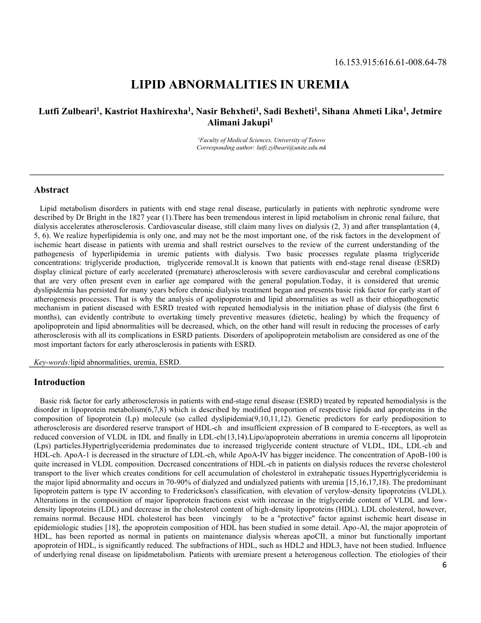# LIPID ABNORMALITIES IN UREMIA

## Lutfi Zulbeari<sup>1</sup>, Kastriot Haxhirexha<sup>1</sup>, Nasir Behxheti<sup>1</sup>, Sadi Bexheti<sup>1</sup>, Sihana Ahmeti Lika<sup>1</sup>, Jetmire Alimani Jakupi1

<sup>1</sup>Faculty of Medical Sciences, University of Tetovo Corresponding author: lutfi.zylbeari@unite.edu.mk

### Abstract

Lipid metabolism disorders in patients with end stage renal disease, particularly in patients with nephrotic syndrome were described by Dr Bright in the 1827 year (1).There has been tremendous interest in lipid metabolism in chronic renal failure, that dialysis accelerates atherosclerosis. Cardiovascular disease, still claim many lives on dialysis (2, 3) and after transplantation (4, 5, 6). We realize hyperlipidemia is only one, and may not be the most important one, of the risk factors in the development of ischemic heart disease in patients with uremia and shall restrict ourselves to the review of the current understanding of the pathogenesis of hyperlipidemia in uremic patients with dialysis. Two basic processes regulate plasma triglyceride concentrations: triglyceride production, triglyceride removal.It is known that patients with end-stage renal disease (ESRD) display clinical picture of early accelerated (premature) atherosclerosis with severe cardiovascular and cerebral complications that are very often present even in earlier age compared with the general population.Today, it is considered that uremic dyslipidemia has persisted for many years before chronic dialysis treatment began and presents basic risk factor for early start of atherogenesis processes. That is why the analysis of apolipoprotein and lipid abnormalities as well as their ethiopathogenetic mechanism in patient diseased with ESRD treated with repeated hemodialysis in the initiation phase of dialysis (the first 6 months), can evidently contribute to overtaking timely preventive measures (dietetic, healing) by which the frequency of apolipoprotein and lipid abnormalities will be decreased, which, on the other hand will result in reducing the processes of early atherosclerosis with all its complications in ESRD patients. Disorders of apolipoprotein metabolism are considered as one of the most important factors for early atherosclerosis in patients with ESRD.

Key-words:lipid abnormalities, uremia, ESRD.

#### Introduction

Basic risk factor for early atherosclerosis in patients with end-stage renal disease (ESRD) treated by repeated hemodialysis is the disorder in lipoprotein metabolism(6,7,8) which is described by modified proportion of respective lipids and apoproteins in the composition of lipoprotein (Lp) molecule (so called dyslipidemia(9,10,11,12). Genetic predictors for early predisposition to atherosclerosis are disordered reserve transport of HDL-ch and insufficient expression of B compared to E-receptors, as well as reduced conversion of VLDL in IDL and finally in LDL-ch(13,14).Lipo/apoprotein aberrations in uremia concerns all lipoprotein (Lps) particles.Hypertriglyceridemia predominates due to increased triglyceride content structure of VLDL, IDL, LDL-ch and HDL-ch. ApoA-1 is decreased in the structure of LDL-ch, while ApoA-IV has bigger incidence. The concentration of ApoB-100 is quite increased in VLDL composition. Decreased concentrations of HDL-ch in patients on dialysis reduces the reverse cholesterol transport to the liver which creates conditions for cell accumulation of cholesterol in extrahepatic tissues.Hypertriglyceridemia is the major lipid abnormality and occurs in 70-90% of dialyzed and undialyzed patients with uremia [15,16,17,18). The predominant lipoprotein pattern is type IV according to Frederickson's classification, with elevation of verylow-density lipoproteins (VLDL). Alterations in the composition of major lipoprotein fractions exist with increase in the triglyceride content of VLDL and lowdensity lipoproteins (LDL) and decrease in the cholesterol content of high-density lipoproteins (HDL). LDL cholesterol, however, remains normal. Because HDL cholesterol has been vincingly to be a "protective" factor against ischemic heart disease in epidemiologic studies [18], the apoprotein composition of HDL has been studied in some detail. Apo-Al, the major apoprotein of HDL, has been reported as normal in patients on maintenance dialysis whereas apoCII, a minor but functionally important apoprotein of HDL, is significantly reduced. The subfractions of HDL, such as HDL2 and HDL3, have not been studied. Influence of underlying renal disease on lipidmetabolism. Patients with uremiare present a heterogenous collection. The etiologies of their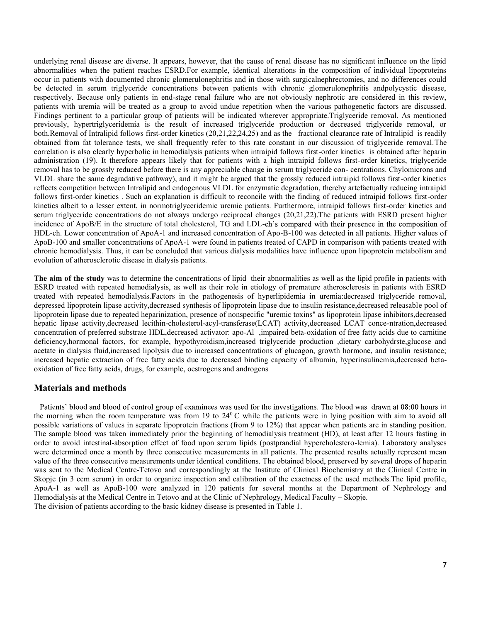underlying renal disease are diverse. It appears, however, that the cause of renal disease has no significant influence on the lipid abnormalities when the patient reaches ESRD.For example, identical alterations in the composition of individual lipoproteins occur in patients with documented chronic glomerulonephritis and in those with surgicalnephrectomies, and no differences could be detected in serum triglyceride concentrations between patients with chronic glomerulonephritis andpolycystic disease, respectively. Because only patients in end-stage renal failure who are not obviously nephrotic are considered in this review, patients with uremia will be treated as a group to avoid undue repetition when the various pathogenetic factors are discussed. Findings pertinent to a particular group of patients will be indicated wherever appropriate.Triglyceride removal. As mentioned previously, hypertriglyceridemia is the result of increased triglyceride production or decreased triglyceride removal, or both.Removal of Intralipid follows first-order kinetics (20,21,22,24,25) and as the fractional clearance rate of Intralipid is readily obtained from fat tolerance tests, we shall frequently refer to this rate constant in our discussion of triglyceride removal.The correlation is also clearly hyperbolic in hemodialysis patients when intraipid follows first-order kinetics is obtained after heparin administration (19). It therefore appears likely that for patients with a high intraipid follows first-order kinetics, triglyceride removal has to be grossly reduced before there is any appreciable change in serum triglyceride con- centrations. Chylomicrons and VLDL share the same degradative pathway), and it might be argued that the grossly reduced intraipid follows first-order kinetics reflects competition between Intralipid and endogenous VLDL for enzymatic degradation, thereby artefactually reducing intraipid follows first-order kinetics . Such an explanation is difficult to reconcile with the finding of reduced intraipid follows first-order kinetics albeit to a lesser extent, in normotriglyceridemic uremic patients. Furthermore, intraipid follows first-order kinetics and serum triglyceride concentrations do not always undergo reciprocal changes (20,21,22).The patients with ESRD present higher incidence of ApoB/E in the structure of total cholesterol, TG and LDL-ch's compared with their presence in the composition of HDL-ch. Lower concentration of ApoA-1 and increased concentration of Apo-B-100 was detected in all patients. Higher values of ApoB-100 and smaller concentrations of ApoA-1 were found in patients treated of CAPD in comparison with patients treated with chronic hemodialysis. Thus, it can be concluded that various dialysis modalities have influence upon lipoprotein metabolism and evolution of atherosclerotic disease in dialysis patients.

The aim of the study was to determine the concentrations of lipid their abnormalities as well as the lipid profile in patients with ESRD treated with repeated hemodialysis, as well as their role in etiology of premature atherosclerosis in patients with ESRD treated with repeated hemodialysis.Factors in the pathogenesis of hyperlipidemia in uremia:decreased triglyceride removal, depressed lipoprotein lipase activity,decreased synthesis of lipoprotein lipase due to insulin resistance,decreased releasable pool of lipoprotein lipase due to repeated heparinization, presence of nonspecific "uremic toxins" as lipoprotein lipase inhibitors,decreased hepatic lipase activity,decreased lecithin-cholesterol-acyl-transferase(LCAT) activity,decreased LCAT conce-ntration,decreased concentration of preferred substrate HDL,decreased activator: apo-Al ,impaired beta-oxidation of free fatty acids due to carnitine deficiency,hormonal factors, for example, hypothyroidism,increased triglyceride production ,dietary carbohydrste,glucose and acetate in dialysis fluid,increased lipolysis due to increased concentrations of glucagon, growth hormone, and insulin resistance; increased hepatic extraction of free fatty acids due to decreased binding capacity of albumin, hyperinsulinemia,decreased betaoxidation of free fatty acids, drugs, for example, oestrogens and androgens

## Materials and methods

Patients' blood and blood of control group of examinees was used for the investigations. The blood was drawn at 08:00 hours in the morning when the room temperature was from 19 to 24<sup>0</sup>C while the patients were in lying position with aim to avoid all possible variations of values in separate lipoprotein fractions (from 9 to 12%) that appear when patients are in standing position. The sample blood was taken immediately prior the beginning of hemodialysis treatment (HD), at least after 12 hours fasting in order to avoid intestinal-absorption effect of food upon serum lipids (postprandial hypercholestero-lemia). Laboratory analyses were determined once a month by three consecutive measurements in all patients. The presented results actually represent mean value of the three consecutive measurements under identical conditions. The obtained blood, preserved by several drops of heparin was sent to the Medical Centre-Tetovo and correspondingly at the Institute of Clinical Biochemistry at the Clinical Centre in Skopje (in 3 ccm serum) in order to organize inspection and calibration of the exactness of the used methods.The lipid profile, ApoA-1 as well as ApoB-100 were analyzed in 120 patients for several months at the Department of Nephrology and Hemodialysis at the Medical Centre in Tetovo and at the Clinic of Nephrology, Medical Faculty – Skopje. The division of patients according to the basic kidney disease is presented in Table 1.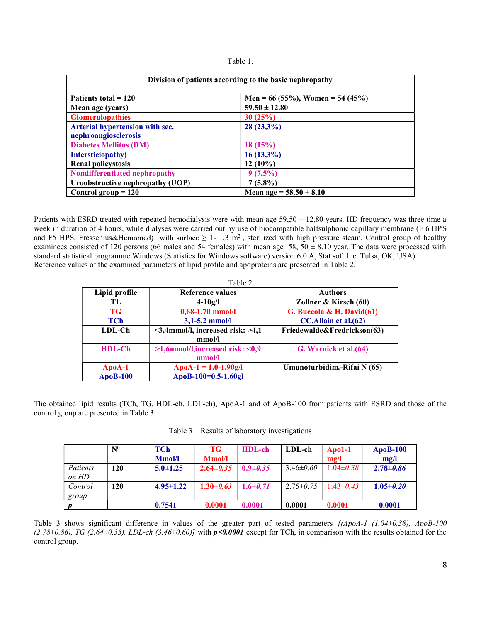| Division of patients according to the basic nephropathy |                                  |  |  |  |
|---------------------------------------------------------|----------------------------------|--|--|--|
| Patients total $= 120$                                  | Men = 66 (55%), Women = 54 (45%) |  |  |  |
| Mean age (years)                                        | $59.50 \pm 12.80$                |  |  |  |
| <b>Glomerulopathies</b>                                 | 30(25%)                          |  |  |  |
| Arterial hypertension with sec.                         | $28(23,3\%)$                     |  |  |  |
| nephroangiosclerosis                                    |                                  |  |  |  |
| <b>Diabetes Mellitus (DM)</b>                           | 18(15%)                          |  |  |  |
| Intersticiopathy)                                       | $16(13,3\%)$                     |  |  |  |
| <b>Renal policystosis</b>                               | $12(10\%)$                       |  |  |  |
| Nondifferentiated nephropathy                           | $9(7,5\%)$                       |  |  |  |
| Uroobstructive nephropathy (UOP)                        | $7(5,8\%)$                       |  |  |  |
| Control group $= 120$                                   | Mean age = $58.50 \pm 8.10$      |  |  |  |

Patients with ESRD treated with repeated hemodialysis were with mean age  $59,50 \pm 12,80$  years. HD frequency was three time a week in duration of 4 hours, while dialyses were carried out by use of biocompatible halfsulphonic capillary membrane (F 6 HPS and F5 HPS, Fressenius&Hemomed) with surface  $\geq 1$ - 1,3 m<sup>2</sup>, sterilized with high pressure steam. Control group of healthy examinees consisted of 120 persons (66 males and 54 females) with mean age  $58$ ,  $50 \pm 8,10$  year. The data were processed with standard statistical programme Windows (Statistics for Windows software) version 6.0 A, Stat soft Inc. Tulsa, OK, USA). Reference values of the examined parameters of lipid profile and apoproteins are presented in Table 2.

|               | Table 2                                      |                              |
|---------------|----------------------------------------------|------------------------------|
| Lipid profile | Reference values                             | <b>Authors</b>               |
| TL            | $4 - 10g/l$                                  | Zollner & Kirsch $(60)$      |
| TG-           | $0,68-1,70$ mmol/l                           | G. Buccola & H. David $(61)$ |
| <b>TCh</b>    | $3,1-5,2$ mmol/l                             | CC.Allain et al.(62)         |
| $LDL-Ch$      | $\leq$ 3,4mmol/l, increased risk: $\geq$ 4,1 | Friedewalde&Fredrickson(63)  |
|               | mmol/l                                       |                              |
| <b>HDL-Ch</b> | $>1,6$ mmol/l,increased risk: $<0,9$         | G. Warnick et al. (64)       |
|               | mmol/l                                       |                              |
| ApoA-1        | $ApoA-1 = 1.0-1.90g/l$                       | Umunoturbidim.-Rifai N (65)  |
| $ApoB-100$    | ApoB-100=0.5-1.60gl                          |                              |

The obtained lipid results (TCh, TG, HDL-ch, LDL-ch), ApoA-1 and of ApoB-100 from patients with ESRD and those of the control group are presented in Table 3.

Table  $3$  – Results of laboratory investigations

|          | $\mathbf{N}^{\mathbf{0}}$ | TCh             | TG              | <b>HDL-ch</b>  | $LDL-ch$        | $Apol-1$                     | $ApoB-100$      |
|----------|---------------------------|-----------------|-----------------|----------------|-----------------|------------------------------|-----------------|
|          |                           | Mmol/l          | <b>Mmol/l</b>   |                |                 | mg/l                         | mg/l            |
| Patients | 120                       | $5.0 \pm 1.25$  | $2.64 \pm 0.35$ | $0.9 \pm 0.35$ | $3.46 \pm 0.60$ | $1.04{\scriptstyle \pm0.38}$ | $2.78 \pm 0.86$ |
| on HD    |                           |                 |                 |                |                 |                              |                 |
| Control  | 120                       | $4.95 \pm 1.22$ | $.30 \pm 0.63$  | $1.6 \pm 0.71$ | $2.75 \pm 0.75$ | $.43 \pm 0.43$               | $1.05 \pm 0.20$ |
| group    |                           |                 |                 |                |                 |                              |                 |
|          |                           | 0.7541          | 0.0001          | 0.0001         | 0.0001          | 0.0001                       | 0.0001          |

Table 3 shows significant difference in values of the greater part of tested parameters  $(ApoA-I (1.04\pm0.38), ApoB-I00$ (2.78 $\pm$ 0.86), TG (2.64 $\pm$ 0.35), LDL-ch (3.46 $\pm$ 0.60)] with  $p$ <0.0001 except for TCh, in comparison with the results obtained for the control group.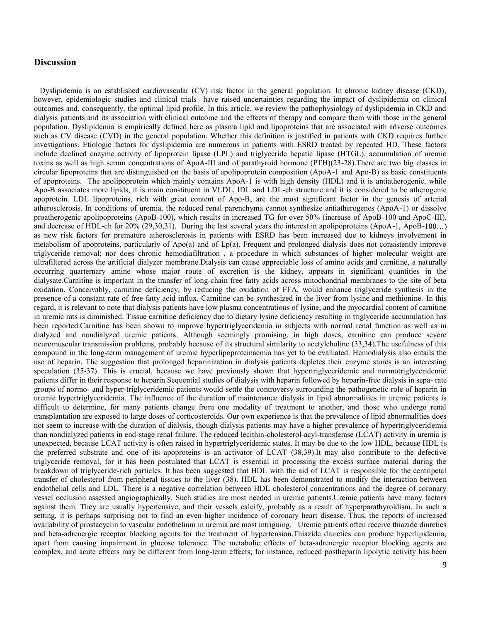#### **Discussion**

Dyslipidemia is an established cardiovascular (CV) risk factor in the general population. In chronic kidney disease (CKD), however, epidemiologic studies and clinical trials have raised uncertainties regarding the impact of dyslipidemia on clinical outcomes and, consequently, the optimal lipid profile. In this article, we review the pathophysiology of dyslipidemia in CKD and dialysis patients and its association with clinical outcome and the effects of therapy and compare them with those in the general population. Dyslipidemia is empirically defined here as plasma lipid and lipoproteins that are associated with adverse outcomes such as CV disease (CVD) in the general population. Whether this definition is justified in patients with CKD requires further investigations. Etiologic factors for dyslipidemia are numerous in patients with ESRD treated by repeated HD. These factors include declined enzyme activity of lipoprotein lipase (LPL) and triglyceride hepatic lipase (HTGL), accumulation of uremic toxins as well as high serum concentrations of ApoA-III and of parathyroid hormone (PTH)(23-28).There are two big classes in circular lipoproteins that are distinguished on the basis of apolipoprotein composition (ApoA-1 and Apo-B) as basic constituents of apoproteins. The apolipoprotein which mainly contains ApoA-1 is with high density (HDL) and it is antiatherogenic, while Apo-B associates more lipids, it is main constituent in VLDL, IDL and LDL-ch structure and it is considered to be atherogenic apoprotein. LDL lipoproteins, rich with great content of Apo-B, are the most significant factor in the genesis of arterial atherosclerosis. In conditions of uremia, the reduced renal parenchyma cannot synthesize antiatherogenes (ApoA-1) or dissolve proatherogenic apolipoproteins (ApoB-100), which results in increased TG for over 50% (increase of ApoB-100 and ApoC-III), and decrease of HDL-ch for 20% (29,30,31). During the last several years the interest in apolipoproteins (ApoA-1, ApoB-100...) as new risk factors for premature atherosclerosis in patients with ESRD has been increased due to kidneys involvement in metabolism of apoproteins, particularly of Apo(a) and of Lp(a). Frequent and prolonged dialysis does not consistently improve triglyceride removal; nor does chronic hemodiafiltration , a procedure in which substances of higher molecular weight are ultrafiltered across the artificial dialyzer membrane.Dialysis can cause appreciable loss of amino acids and carnitine, a naturally occurring quarternary amine whose major route of excretion is the kidney, appears in significant quantities in the dialysate.Carnitine is important in the transfer of long-chain free fatty acids across mitochondrial membranes to the site of beta oxidation. Conceivably, carnitine deficiency, by reducing the oxidation of FFA, would enhance triglyceride synthesis in the presence of a constant rate of free fatty acid influx. Carnitine can be synthesized in the liver from lysine and methionine. In this regard, it is relevant to note that dialysis patients have low plasma concentrations of lysine, and the myocardial content of carnitine in uremic rats is diminished. Tissue carnitine deficiency due to dietary lysine deficiency resulting in triglyceride accumulation has been reported.Carnitine has been shown to improve hypertriglyceridemia in subjects with normal renal function as well as in dialyzed and nondialyzed uremic patients. Although seemingly promising, in high doses, carnitine can produce severe neuromuscular transmission problems, probably because of its structural similarity to acetylcholine (33,34).The usefulness of this compound in the long-term management of uremic hyperlipoproteinaemia has yet to be evaluated. Hemodialysis also entails the use of heparin. The suggestion that prolonged heparinization in dialysis patients depletes their enzyme stores is an interesting speculation (35-37). This is crucial, because we have previously shown that hypertriglyceridemic and normotriglyceridemic patients differ in their response to heparin.Sequential studies of dialysis with heparin followed by heparin-free dialysis in sepa- rate groups of normo- and hyper-triglyceridemic patients would settle the controversy surrounding the pathogenetic role of heparin in uremic hypertriglyceridemia. The influence of the duration of maintenance dialysis in lipid abnormalities in uremic patients is difficult to determine, for many patients change from one modality of treatment to another, and those who undergo renal transplantation are exposed to large doses of corticosteroids. Our own experience is that the prevalence of lipid abnormalities does not seem to increase with the duration of dialysis, though dialysis patients may have a higher prevalence of hypertriglyceridemia than nondialyzed patients in end-stage renal failure. The reduced lecithin-cholesterol-acyl-transferase (LCAT) activity in uremia is unexpected, because LCAT activity is often raised in hypertriglyceridemic states. It may be due to the low HDL, because HDL is the preferred substrate and one of its apoproteins is an activator of LCAT (38,39).It may also contribute to the defective triglyceride removal, for it has been postulated that LCAT is essential in processing the excess surface material during the breakdown of triglyceride-rich particles. It has been suggested that HDL with the aid of LCAT is responsible for the centripetal transfer of cholesterol from peripheral tissues to the liver (38). HDL has been demonstrated to modify the interaction between endothelial cells and LDL. There is a negative correlation between HDL cholesterol concentrations and the degree of coronary vessel occlusion assessed angiographically. Such studies are most needed in uremic patients.Uremic patients have many factors against them. They are usually hypertensive, and their vessels calcify, probably as a result of hyperparathyroidism. In such a setting, it is perhaps surprising not to find an even higher incidence of coronary heart disease. Thus, the reports of increased availability of prostacyclin to vascular endothelium in uremia are most intriguing. Uremic patients often receive thiazide diuretics and beta-adrenergic receptor blocking agents for the treatment of hypertension.Thiazide diuretics can produce hyperlipidemia, apart from causing impairment in glucose tolerance. The metabolic effects of beta-adrenergic receptor blocking agents are complex, and acute effects may be different from long-term effects; for instance, reduced postheparin lipolytic activity has been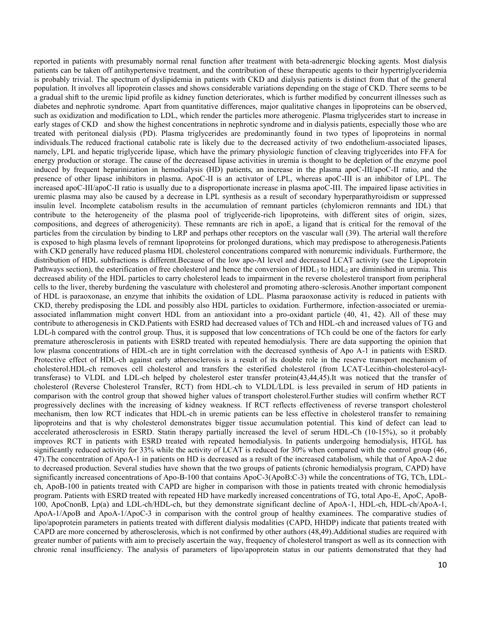reported in patients with presumably normal renal function after treatment with beta-adrenergic blocking agents. Most dialysis patients can be taken off antihypertensive treatment, and the contribution of these therapeutic agents to their hypertriglyceridemia is probably trivial. The spectrum of dyslipidemia in patients with CKD and dialysis patients is distinct from that of the general population. It involves all lipoprotein classes and shows considerable variations depending on the stage of CKD. There seems to be a gradual shift to the uremic lipid profile as kidney function deteriorates, which is further modified by concurrent illnesses such as diabetes and nephrotic syndrome. Apart from quantitative differences, major qualitative changes in lipoproteins can be observed, such as oxidization and modification to LDL, which render the particles more atherogenic. Plasma triglycerides start to increase in early stages of CKD and show the highest concentrations in nephrotic syndrome and in dialysis patients, especially those who are treated with peritoneal dialysis (PD). Plasma triglycerides are predominantly found in two types of lipoproteins in normal individuals.The reduced fractional catabolic rate is likely due to the decreased activity of two endothelium-associated lipases, namely, LPL and hepatic triglyceride lipase, which have the primary physiologic function of cleaving triglycerides into FFA for energy production or storage. The cause of the decreased lipase activities in uremia is thought to be depletion of the enzyme pool induced by frequent heparinization in hemodialysis (HD) patients, an increase in the plasma apoC-III/apoC-II ratio, and the presence of other lipase inhibitors in plasma. ApoC-II is an activator of LPL, whereas apoC-III is an inhibitor of LPL. The increased apoC-III/apoC-II ratio is usually due to a disproportionate increase in plasma apoC-III. The impaired lipase activities in uremic plasma may also be caused by a decrease in LPL synthesis as a result of secondary hyperparathyroidism or suppressed insulin level. Incomplete catabolism results in the accumulation of remnant particles (chylomicron remnants and IDL) that contribute to the heterogeneity of the plasma pool of triglyceride-rich lipoproteins, with different sites of origin, sizes, compositions, and degrees of atherogenicity). These remnants are rich in apoE, a ligand that is critical for the removal of the particles from the circulation by binding to LRP and perhaps other receptors on the vascular wall (39). The arterial wall therefore is exposed to high plasma levels of remnant lipoproteins for prolonged durations, which may predispose to atherogenesis.Patients with CKD generally have reduced plasma HDL cholesterol concentrations compared with nonuremic individuals. Furthermore, the distribution of HDL subfractions is different.Because of the low apo-AI level and decreased LCAT activity (see the Lipoprotein Pathways section), the esterification of free cholesterol and hence the conversion of HDL<sub>2</sub> to HDL<sub>2</sub> are diminished in uremia. This decreased ability of the HDL particles to carry cholesterol leads to impairment in the reverse cholesterol transport from peripheral cells to the liver, thereby burdening the vasculature with cholesterol and promoting athero-sclerosis.Another important component of HDL is paraoxonase, an enzyme that inhibits the oxidation of LDL. Plasma paraoxonase activity is reduced in patients with CKD, thereby predisposing the LDL and possibly also HDL particles to oxidation. Furthermore, infection-associated or uremiaassociated inflammation might convert HDL from an antioxidant into a pro-oxidant particle (40, 41, 42). All of these may contribute to atherogenesis in CKD.Patients with ESRD had decreased values of TCh and HDL-ch and increased values of TG and LDL-h compared with the control group. Thus, it is supposed that low concentrations of TCh could be one of the factors for early premature atherosclerosis in patients with ESRD treated with repeated hemodialysis. There are data supporting the opinion that low plasma concentrations of HDL-ch are in tight correlation with the decreased synthesis of Apo A-1 in patients with ESRD. Protective effect of HDL-ch against early atherosclerosis is a result of its double role in the reserve transport mechanism of cholesterol.HDL-ch removes cell cholesterol and transfers the esterified cholesterol (from LCAT-Lecithin-cholesterol-acyltransferase) to VLDL and LDL-ch helped by cholesterol ester transfer protein(43,44,45).It was noticed that the transfer of cholesterol (Reverse Cholesterol Transfer, RCT) from HDL-ch to VLDL/LDL is less prevailed in serum of HD patients in comparison with the control group that showed higher values of transport cholesterol.Further studies will confirm whether RCT progressively declines with the increasing of kidney weakness. If RCT reflects effectiveness of reverse transport cholesterol mechanism, then low RCT indicates that HDL-ch in uremic patients can be less effective in cholesterol transfer to remaining lipoproteins and that is why cholesterol demonstrates bigger tissue accumulation potential. This kind of defect can lead to accelerated atherosclerosis in ESRD. Statin therapy partially increased the level of serum HDL-Ch (10-15%), so it probably improves RCT in patients with ESRD treated with repeated hemodialysis. In patients undergoing hemodialysis, HTGL has significantly reduced activity for 33% while the activity of LCAT is reduced for 30% when compared with the control group (46, 47).The concentration of ApoA-1 in patients on HD is decreased as a result of the increased catabolism, while that of ApoA-2 due to decreased production. Several studies have shown that the two groups of patients (chronic hemodialysis program, CAPD) have significantly increased concentrations of Apo-B-100 that contains ApoC-3(ApoB:C-3) while the concentrations of TG, TCh, LDLch, ApoB-100 in patients treated with CAPD are higher in comparison with those in patients treated with chronic hemodialysis program. Patients with ESRD treated with repeated HD have markedly increased concentrations of TG, total Apo-E, ApoC, ApoB-100, ApoCnonB, Lp(a) and LDL-ch/HDL-ch, but they demonstrate significant decline of ApoA-1, HDL-ch, HDL-ch/ApoA-1, ApoA-1/ApoB and ApoA-1/ApoC-3 in comparison with the control group of healthy examinees. The comparative studies of lipo/apoprotein parameters in patients treated with different dialysis modalities (CAPD, HHDP) indicate that patients treated with CAPD are more concerned by atherosclerosis, which is not confirmed by other authors (48,49).Additional studies are required with greater number of patients with aim to precisely ascertain the way, frequency of cholesterol transport as well as its connection with chronic renal insufficiency. The analysis of parameters of lipo/apoprotein status in our patients demonstrated that they had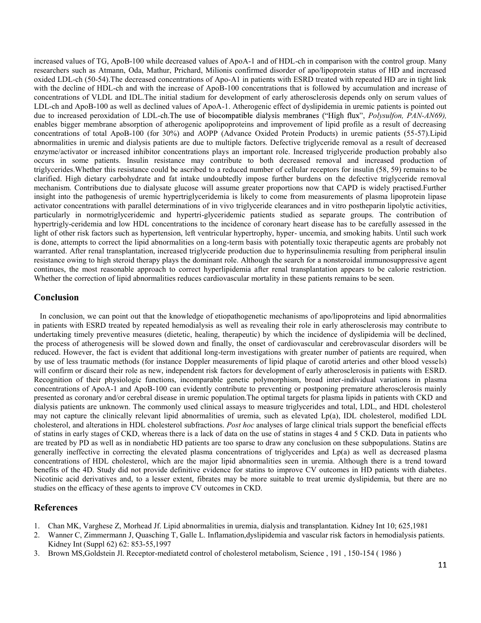increased values of TG, ApoB-100 while decreased values of ApoA-1 and of HDL-ch in comparison with the control group. Many researchers such as Atmann, Oda, Mathur, Prichard, Milionis confirmed disorder of apo/lipoprotein status of HD and increased oxided LDL-ch (50-54).The decreased concentrations of Apo-A1 in patients with ESRD treated with repeated HD are in tight link with the decline of HDL-ch and with the increase of ApoB-100 concentrations that is followed by accumulation and increase of concentrations of VLDL and IDL.The initial stadium for development of early atherosclerosis depends only on serum values of LDL-ch and ApoB-100 as well as declined values of ApoA-1. Atherogenic effect of dyslipidemia in uremic patients is pointed out due to increased peroxidation of LDL-ch. The use of biocompatible dialysis membranes ("High flux", Polysulfon, PAN-AN69), enables bigger membrane absorption of atherogenic apolipoproteins and improvement of lipid profile as a result of decreasing concentrations of total ApoB-100 (for 30%) and AOPP (Advance Oxided Protein Products) in uremic patients (55-57).Lipid abnormalities in uremic and dialysis patients are due to multiple factors. Defective triglyceride removal as a result of decreased enzyme/activator or increased inhibitor concentrations plays an important role. Increased triglyceride production probably also occurs in some patients. Insulin resistance may contribute to both decreased removal and increased production of triglycerides.Whether this resistance could be ascribed to a reduced number of cellular receptors for insulin (58, 59) remains to be clarified. High dietary carbohydrate and fat intake undoubtedly impose further burdens on the defective triglyceride removal mechanism. Contributions due to dialysate glucose will assume greater proportions now that CAPD is widely practised.Further insight into the pathogenesis of uremic hypertriglyceridemia is likely to come from measurements of plasma lipoprotein lipase activator concentrations with parallel determinations of in vivo triglyceride clearances and in vitro postheparin lipolytic activities, particularly in normotriglyceridemic and hypertri-glyceridemic patients studied as separate groups. The contribution of hypertrigly-ceridemia and low HDL concentrations to the incidence of coronary heart disease has to be carefully assessed in the light of other risk factors such as hypertension, left ventricular hypertrophy, hyper- uncemia, and smoking habits. Until such work is done, attempts to correct the lipid abnormalities on a long-term basis with potentially toxic therapeutic agents are probably not warranted. After renal transplantation, increased triglyceride production due to hyperinsulinemia resulting from peripheral insulin resistance owing to high steroid therapy plays the dominant role. Although the search for a nonsteroidal immunosuppressive agent continues, the most reasonable approach to correct hyperlipidemia after renal transplantation appears to be calorie restriction. Whether the correction of lipid abnormalities reduces cardiovascular mortality in these patients remains to be seen.

## Conclusion

In conclusion, we can point out that the knowledge of etiopathogenetic mechanisms of apo/lipoproteins and lipid abnormalities in patients with ESRD treated by repeated hemodialysis as well as revealing their role in early atherosclerosis may contribute to undertaking timely preventive measures (dietetic, healing, therapeutic) by which the incidence of dyslipidemia will be declined, the process of atherogenesis will be slowed down and finally, the onset of cardiovascular and cerebrovascular disorders will be reduced. However, the fact is evident that additional long-term investigations with greater number of patients are required, when by use of less traumatic methods (for instance Doppler measurements of lipid plaque of carotid arteries and other blood vessels) will confirm or discard their role as new, independent risk factors for development of early atherosclerosis in patients with ESRD. Recognition of their physiologic functions, incomparable genetic polymorphism, broad inter-individual variations in plasma concentrations of ApoA-1 and ApoB-100 can evidently contribute to preventing or postponing premature atherosclerosis mainly presented as coronary and/or cerebral disease in uremic population.The optimal targets for plasma lipids in patients with CKD and dialysis patients are unknown. The commonly used clinical assays to measure triglycerides and total, LDL, and HDL cholesterol may not capture the clinically relevant lipid abnormalities of uremia, such as elevated Lp(a), IDL cholesterol, modified LDL cholesterol, and alterations in HDL cholesterol subfractions. Post hoc analyses of large clinical trials support the beneficial effects of statins in early stages of CKD, whereas there is a lack of data on the use of statins in stages 4 and 5 CKD. Data in patients who are treated by PD as well as in nondiabetic HD patients are too sparse to draw any conclusion on these subpopulations. Statins are generally ineffective in correcting the elevated plasma concentrations of triglycerides and Lp(a) as well as decreased plasma concentrations of HDL cholesterol, which are the major lipid abnormalities seen in uremia. Although there is a trend toward benefits of the 4D. Study did not provide definitive evidence for statins to improve CV outcomes in HD patients with diabetes. Nicotinic acid derivatives and, to a lesser extent, fibrates may be more suitable to treat uremic dyslipidemia, but there are no studies on the efficacy of these agents to improve CV outcomes in CKD.

#### References

- 1. Chan MK, Varghese Z, Morhead Jf. Lipid abnormalities in uremia, dialysis and transplantation. Kidney Int 10; 625,1981
- 2. Wanner C, Zimmermann J, Quasching T, Galle L. Inflamation,dyslipidemia and vascular risk factors in hemodialysis patients. Kidney Int (Suppl 62) 62: 853-55,1997
- 3. Brown MS,Goldstein Jl. Receptor-mediatetd control of cholesterol metabolism, Science , 191 , 150-154 ( 1986 )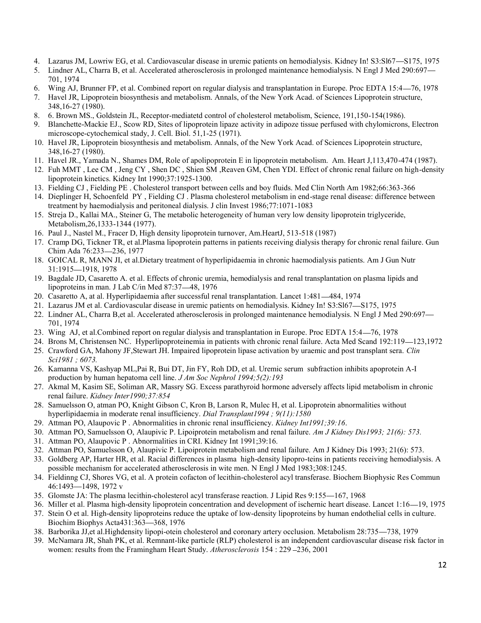- 4. Lazarus JM, Lowriw EG, et al. Cardiovascular disease in uremic patients on hemodialysis. Kidney In! S3:Sl67-S175, 1975
- 5. Lindner AL, Charra B, et al. Accelerated atherosclerosis in prolonged maintenance hemodialysis. N Engl J Med 290:697 701, 1974 1. Lazarus JM, Lowiw EG, et al. Cardiovascular disease in urenic patients on hemodialysis. Kidney In! S3:S167—S175, 1975<br>
201, 1974<br>
201, 1974<br>
201, 1974<br>
201, 1974<br>
201, 1974<br>
201, 1974<br>
201, Hamner FP, et al. Combined re 1. Lazarus JM, Lowriw EG, et al. Cardiovascular disease in uremic patients on hemodialysis. Kidney In! \$3:5167—\$175, 1975<br>
1. Lindner AL, Charn B, et al. Accelerated atheroselerosis in prolonged maintenance hemodialysis. N 1. I. azanus JM, Lowive FG, et al. Cardiovascular disease in uremic patients on hemodialysis. Kidney In! \$3:8167—\$175, 1975<br>
2. Lindner AL, Charra B, et al. Conclined report on regular dialysis and ransplantation in Europe 1. Luzarus JM, Lowriw EG, et al. Cardiovascular disease in uremic patients on hemodialysis. Kidney In! \$3.5067—\$175, 1975<br>
2. Linder AL, Charra B, et al. Accelerated atheroselerosis in prolonged maintenance hemodialysis. N 14. Lazznus JM, Lowriw EG, et al. Cardiovascular disease in uremic patients on hemodialysis. Kidney In! \$3:8167—8175, 1975<br>
5. Lindare AL, Charas B, et al. Accelerated atheroselerosis in prolonged maintenance hemodialysis. 1. Lazarus JM, Lowriw FG, et al. Cardiovascular disease in uremic patients on hemodialysis. Kidney In! \$3:5867—8175, 1975<br>
5. Iindner A1, Charra B, et al. Accelerated athereselerosis in prolonged maintenance hemodialysis. 16. Lazarus JM, Lowriw EG, et al. Cardiovascular disease in uremic patients on hemodialysis. Kidney In! 53:Sl67-<br>
201, 1974<br>
201, High J. Humert PP, et al. Accelerated atheroscierosis in prolonged maintenance hemodialysis. 4. Lazarus JM, Lowriw EG, et al. Cardiowascular disease in uremic patients on hemodialysis. Kidney In! \$3:5167—5175, 1975<br>
5. Lindner AL, Chara B, et al. Combined report on regular dialysis and transplantation in Europe. P 4. Lazaras MAL Lowriw EG, et al. Cardiovascelur disease in unemic patients on hemodialysis. Kindp Inf 35:3867—5175, 1975<br>70. J. 1974<br> For the AL Content of Accelerated atherese lens in prolonged maintenance hemodialysis.
- 6. Wing AJ, Brunner FP, et al. Combined report on regular dialysis and transplantation in Europe. Proc EDTA 15:4–76, 1978
- 7. Havel JR, Lipoprotein biosynthesis and metabolism. Annals, of the New York Acad. of Sciences Lipoprotein structure, 348,16-27 (1980).
- 8. 6. Brown MS., Goldstein JL, Receptor-mediatetd control of cholesterol metabolism, Science, 191,150-154(1986).
- 9. Blanchette-Mackie EJ., Scow RD, Sites of lipoprotein lipaze activity in adipoze tissue perfused with chylomicrons, Electron microscope-cytochemical stady, J. Cell. Biol. 51,1-25 (1971).<br>10. Havel JR, Lipoprotein biosynthesis and metabolism. Annals, of the New York Acad. of Sciences Lipoprotein structure,
- 348,16-27 (1980).
- 
- lipoprotein kinetics. Kidney Int 1990;37:1925-1300.
- 
- treatment by haemodialysis and peritoneal dialysis. J clin Invest 1986;77:1071-1083
- Metabolism,26,1333-1344 (1977).
- 
- Chim Ada 76:233-236, 1977 701, 1974<br>
19. Bagdale JD, Bagdare FP, et al. Combined report on regular dialysis and transplantation in Europe. Proc EDTA 15:4—76, 1978<br>
16. Bavel JR. Livenovicin biosynthesis and metabolism. Amals, of the New York Aead. 7. Have IR, Lipopotein biosynthesis and metabolism. Annals, of the New York Acad. of Sciences Lipoprotein structure,<br>
8. 6. Hrown MS, Goldstein JL, Receptor-mediated control of cholesterol metabolism, Science, 191,150-154 34. Lect 2(1980).<br>
24. Lect al. Cardiovascular disease in uremic metalsted control of cholesterol metabolism, Science, 191,150-154(1986).<br>
28. Enconcentre-Medice EJ, Scow RD, Sties of lipoprotein lipace are introduced in t 8. G. Buowa MS., Gioldsein J.L., Receptor-mediated control of cholesterol metabolism. Sciences, 191,150-154(1986).<br>
9. Blanchette-Mackie LJ, Scow RD, Sites of lipoprotein lipage activity in adipoze tissue perfissed with ch microscope-cytochemial staty, J. Cel. Biol. 51, 25:4 (1971).<br>
23. Wing AJ, A. E. A. Biol. 25:1 (1985).<br>
348. Idea, 21, 22, 1978. Note of a policy shows and transplantation in transplantation. Ann. Heart J.113.470-474 (1987 10. Have JR. Griepotein biosynthesis and metabolism. Annals, of the New York Acad. of Sciences Lipoprotein structure,<br>11. Have JR., Varmala N, Shumes DM, Role of grolpioprotein Ein inporcein metabolism. Am. Heat 1, 11,470-343. Cray (1980). The Handle Maynes DM, Robe of apolipopratein Fin lipoprotein metabolism. Am. Heart J.113.470-474 (1987).<br>
12. Fuh MMT, Lee CM, Jeng CV, Shen DC, Slicen SM, Reaven GM, Chen YDI. Effect of chronic renal fi 12. Full modMT, Lee CM, Jeng CY, Shen DC, Shine SM, Reaven GM, Chen YDI. Effect of chronic renal finiture on high-density<br>13. Fielding CJ, Fielding CJ, The methodister of the went collected more there are all and boy flui 13. Fielding CJ. Fielding CJ. Plessme collesserved teampoor between colless and of Dust and Note Tain Notesta. The metabolism in end stage format team and stages and fielding CJ. Plessme choices parathy hormoneling and pe treations the harmodial poission of prefine and philis). 15. Stime IPSO, 77:107-11083<br>
15. Streigh D., Kallai MA, Steiner G, The metabolic hetrogeneity of human very low density lipoprotein triglyceride,<br>
16. Puul J, Nasc Mediolism O. 1333-1344 (1977). Naster 19. Free all Plasming lipoprotein turnover, Am.HeartJ, 513-518 (1987)<br>
17. Cramp DG, Fickner TR, et al. Plasma lipoprotein patterns in patients receiving dialysis therapy for chronic r 17. Cramp DG, Tickner TR, et al. Plasma lipoprotein patterns in patients receiving dialysis therapy<br>
18. GOICAL R, MANN JI, et al. Dietary treatment of hyperlipidaemia in chronic haemodialysis p<br>
18. GOICAL R, MANN JI, et
- 31:1915 1918, 1978
- lipoproteins in man. J Lab C/in Med  $87:37 48$ , 1976
- 
- 
- 701, 1974
- 
- 
- Sci1981 ; 6073.
- production by human hepatoma cell line. J Am Soc Nephrol 1994;5(2):193
- renal failure. Kidney Inter1990;37:854
- hyperlipidaemia in moderate renal insufficiency. Dial Transplant1994 ; 9(11):1580
- 
- 
- 
- 
- Chin Male 76:233. -325. 1997<br>
31: OGICAL R. MANN II, et al.Dietary treatment of hyperlipidsemia in chronic heared altransplantation on plasma lipids and<br>
31:1915-1918, 1978<br>
31:1915-1918, 1978<br>
11:1915-1918, 1978<br>
20. Cas 18. GolCALR, MANN II, et al. Dietary treatment of hyperlipidaemia in chronic haemodialysis patients. Am J Gun Nutr<br>
19. Bagdale DD, Casaretto A. et al. Effects of chronic uremia, hemodialysis and renal transplantation on possible mechanism for accelerated atherosclerosis in wite men. N Engl J Med 1983;308:1245. 19. Higgled DD, Cassnetto A, et al. Effects of chronic uremia, hemodialysis and renal transplantation on plasma lipids and<br>20. Cassnetto A, at al. Hyperlipiddemia after successful renal transplantation. Laneed 1:484, 1974 20. Cassimetto A, at ut Hyperlipidularma after success fol real ransplantation. Lancel 1:481—484. 1974<br>21. Lazams JM et al. Cardivoscular disease in uremic patients on hemodialysis. Kidney In 183:867—8175, 1975<br>22. Lindaer
- 46:1493-1498, 1972 v
- 
- 
- Biochim Biophys Acta431:363—368, 1976<br>38. Barborika JJ,et al.Highdensity lipopi-otein cholesterol and coronary artery occlusion. Metabolism 28:735—738, 1979
- 
- 21. Lazaras JM et al. Cardiovascular dieses in uernie peitens on herodichysis. Kidney In S2:Si67—S175, 1979<br>22. Lindner AL, Chara B.et al. Accelerated atheresedents in prolonged maintenance henodialysis. Nang 1 Med 200:69 22. Linder AL, Charra B,et al. Accelerated atherosclerosis in prolonged maintenance hemodialysis. N Engl J Med 290:697—23. Wing M, et al. Combined report on regular dialysis and reansplantaton in Europe. Proce EDTA 15:4—7 23. Winn  $M$ , ed al.Combined report on regular dialysis and transplantaton in Europe. Proc EDTA 15:4-3-76, 1978<br>24. Broas M, Christensen NC. Hyperlipoporteinemia in patients with chonic read failure. Acts Med Scand 192:11 24. Hrons M. Christensen NC. Hyperlipopototieninia in patients with chronic result filter. Acts Med Scand 192:119-122, Denvisor ACH DSCA Manna JP, Skah PK, et al. Remnant-like particle is an independent in the state of th women: results from the Framingham Heart Study. Atherosclerosis 154 : 229 -236, 2001